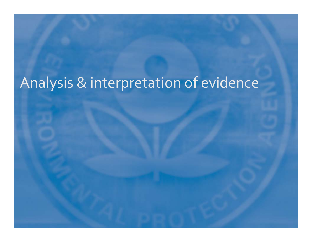# Analysis & interpretation of evidence

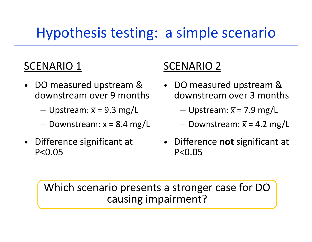## Hypothesis testing: <sup>a</sup> simple scenario

#### SCENARIO 1

- • DO measured upstream & downstream over 9 months
	- $-$  Upstream:  $\overline{x}$  = 9.3 mg/L
	- $-$  Downstream:  $\overline{x}$  = 8.4 mg/L
- • Difference significant at P<0.05

#### **SCENARIO 2**

- DO measured upstream & downstream over 3 months
	- $-$  Upstream:  $\overline{x}$  = 7.9 mg/L
	- $-$  Downstream:  $\overline{x}$  = 4.2 mg/L
- Difference **not** significant at P<0.05

Which scenario presents <sup>a</sup> stronger case for DO causing impairment?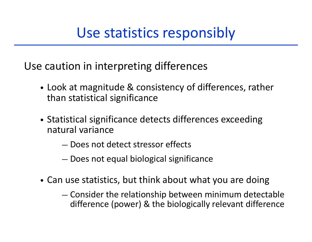#### Use statistics responsibly

Use caution in interpreting differences

- Look at magnitude & consistency of differences, rather than statistical significance
- Statistical significance detects differences exceeding natural variance
	- Does not detect stressor effects
	- Does not equal biological significance
- Can use statistics, but think about what you are doing
	- Consider the relationship between minimum detectable difference (power) & the biologically relevant difference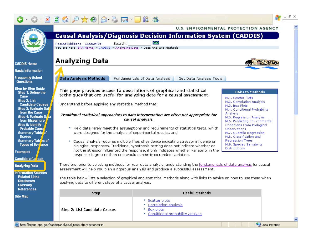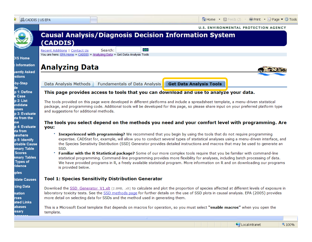| LIS CADDIS   US EPA             | Home • <b>M</b> Feeds (J) <b>Contract + Page • C Tools</b>                                                                                                                                                                                                                             |  |  |  |
|---------------------------------|----------------------------------------------------------------------------------------------------------------------------------------------------------------------------------------------------------------------------------------------------------------------------------------|--|--|--|
|                                 | <b>U.S. ENVIRONMENTAL PROTECTION AGENCY</b>                                                                                                                                                                                                                                            |  |  |  |
|                                 | <b>Causal Analysis/Diagnosis Decision Information System</b>                                                                                                                                                                                                                           |  |  |  |
|                                 | (CADDIS)                                                                                                                                                                                                                                                                               |  |  |  |
|                                 | <b>GO</b><br>Search:<br>Recent Additions   Contact Us<br>You are here: EPA Home » CADDIS » Analyzing Data » Get Data Analysis Tools                                                                                                                                                    |  |  |  |
| <b>DIS Home</b>                 |                                                                                                                                                                                                                                                                                        |  |  |  |
| <b>c</b> Information            | <b>Analyzing Data</b>                                                                                                                                                                                                                                                                  |  |  |  |
| uently Asked<br>stions          |                                                                                                                                                                                                                                                                                        |  |  |  |
| -by-Step                        | <b>Get Data Analysis Tools</b><br>Data Analysis Methods<br><b>Fundamentals of Data Analysis</b>                                                                                                                                                                                        |  |  |  |
| p 1: Define<br>e Case           | This page provides access to tools that you can download and use to analyze your data.                                                                                                                                                                                                 |  |  |  |
| p 2: List                       | The tools provided on this page were developed in different platforms and include a spreadsheet template, a menu-driven statistical                                                                                                                                                    |  |  |  |
| andidate<br>luses               | package, and programming code. Additional tools will be developed for this page, so please share input on your preferred platform type                                                                                                                                                 |  |  |  |
| p 3: Evaluate<br>ta from the    | and suggestions for additional methods.                                                                                                                                                                                                                                                |  |  |  |
| ise.<br>p 4: Evaluate           | The tools you select depend on the methods you need and your comfort level with programming. Are                                                                                                                                                                                       |  |  |  |
| ata from                        | you:                                                                                                                                                                                                                                                                                   |  |  |  |
| sewhere<br>p 5: Identify        | Inexperienced with programming? We recommend that you begin by using the tools that do not require programming<br>expertise. CADStat for, example, will allow you to conduct several types of statistical analyses using a menu-driven interface, and                                  |  |  |  |
| obable Cause<br>nmary Table     | the Species Sensitivity Distribution (SSD) Generator provides detailed instructions and macros that may be used to generate an<br>SSD.                                                                                                                                                 |  |  |  |
| <b>Scores</b>                   | Familiar with the R Statistical package? Some of our more complex tools require that you be familiar with command-line                                                                                                                                                                 |  |  |  |
| nmary Tables<br><b>Types of</b> | statistical programming. Command-line programming provides more flexibility for analyses, including batch processing of data.<br>We have provided programs in R, a freely available statistical program. More information on R and on downloading our programs                         |  |  |  |
| <i>r</i> idence                 | is provided below.                                                                                                                                                                                                                                                                     |  |  |  |
| <b>iples</b>                    |                                                                                                                                                                                                                                                                                        |  |  |  |
| lidate Causes                   | <b>Tool 1: Species Sensitivity Distribution Generator</b>                                                                                                                                                                                                                              |  |  |  |
| zing Data<br>mation             | Download the SSD Generator V1.xlt (2.8MB, .xlt) to calculate and plot the proportion of species affected at different levels of exposure in<br>laboratory toxicity tests. See the SSD methods page for further details on the use of SSD plots in causal analysis. EPA (2005) provides |  |  |  |
| rces                            | more detail on selecting data for SSDs and the method used in generating them.                                                                                                                                                                                                         |  |  |  |
| ated Links<br>abases            | This is a Microsoft Excel template that depends on macros for operation, so you must select "enable macros" when you open the                                                                                                                                                          |  |  |  |
| <b>issary</b>                   | template.                                                                                                                                                                                                                                                                              |  |  |  |
|                                 | IIII.<br>Local intranet<br>€ 100%                                                                                                                                                                                                                                                      |  |  |  |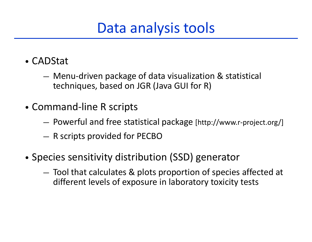## Data analysis tools

- CADStat
	- Menu‐driven package of data visualization & statistical techniques, based on JGR (Java GUI for R)
- Command‐line R scripts
	- Powerful and free statistical package [http://www.r‐project.org/]
	- R scripts provided for PECBO
- •• Species sensitivity distribution (SSD) generator
	- Tool that calculates & plots proportion of species affected at different levels of exposure in laboratory toxicity tests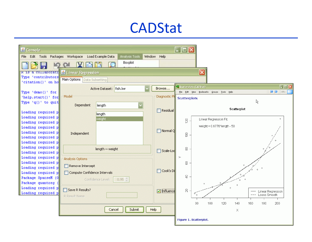#### **CADStat**

| $\overline{\phantom{a}}$ . $\overline{\phantom{a}}$ $\overline{\phantom{a}}$<br>& Console<br>Packages Workspace<br>Window Help<br>Edit Tools<br>Load Example Data<br>Analysis Tools<br>File |                                    |                    |                                                                                        |  |  |
|---------------------------------------------------------------------------------------------------------------------------------------------------------------------------------------------|------------------------------------|--------------------|----------------------------------------------------------------------------------------|--|--|
| Boxplot                                                                                                                                                                                     |                                    |                    |                                                                                        |  |  |
|                                                                                                                                                                                             |                                    |                    |                                                                                        |  |  |
| ⊠<br><b>R</b> is a corraporati <b>&amp;</b> Linear Regression<br>Type 'contributors                                                                                                         |                                    |                    |                                                                                        |  |  |
| 'citation()' on ho                                                                                                                                                                          | Main Options   Data Subsetting     |                    |                                                                                        |  |  |
|                                                                                                                                                                                             | fish.lwr<br>Active Dataset:        | Browse             | $\Box$ o $x$<br>Scatterplots (CADStat)                                                 |  |  |
| Type 'demo()' for                                                                                                                                                                           |                                    |                    | $\bigoplus$ $\bigoplus$ $\bigoplus$ URL:<br>File Edit View Bookmarks Groups Tools Help |  |  |
| 'help.start()' for                                                                                                                                                                          | Model                              | Diagnostic P       | <b>Scatterplots</b>                                                                    |  |  |
| Type 'q()' to quit                                                                                                                                                                          | Dependent<br>length                |                    | R.                                                                                     |  |  |
| Loading required p                                                                                                                                                                          |                                    | Residual           | Scatterplot                                                                            |  |  |
| Loading required p                                                                                                                                                                          | length<br>weight                   |                    | $\circ$                                                                                |  |  |
| Loading required p                                                                                                                                                                          |                                    |                    | Linear Regression Fit:<br>120                                                          |  |  |
| Loading required p                                                                                                                                                                          |                                    |                    | weight = $0.6776*$ length - 50                                                         |  |  |
| Loading required p                                                                                                                                                                          | Independent                        | Normal Q           | $\approx$                                                                              |  |  |
| Loading required p                                                                                                                                                                          |                                    |                    | $\circ$                                                                                |  |  |
| Loading required p<br>Loading required p                                                                                                                                                    |                                    |                    |                                                                                        |  |  |
| Loading required p                                                                                                                                                                          | length $\sim$ weight               | Scale-Lod          | $\otimes$                                                                              |  |  |
| Loading required p                                                                                                                                                                          | Analysis Options                   |                    | $\geq$                                                                                 |  |  |
| Loading required p                                                                                                                                                                          |                                    |                    | 8                                                                                      |  |  |
| Loading required p                                                                                                                                                                          | Remove Intercept                   | Cook's Di          |                                                                                        |  |  |
| Loading required p                                                                                                                                                                          | Compute Confidence Intervals       |                    | $\triangleq$                                                                           |  |  |
| Package SparseM (0<br>Package quantreg                                                                                                                                                      | Confidence Level:<br>$0.95 \oplus$ |                    |                                                                                        |  |  |
| Loading required p                                                                                                                                                                          |                                    |                    | $\circ$                                                                                |  |  |
| Loading required p                                                                                                                                                                          | Save R Results?                    | $\nabla$ Influence | $\gtrsim$<br>Linear Regression<br>--- Loess Smooth<br>$\circ$                          |  |  |
|                                                                                                                                                                                             | R Result Name                      |                    |                                                                                        |  |  |
|                                                                                                                                                                                             |                                    |                    | 80<br>100<br>120<br>140<br>180<br>200<br>160                                           |  |  |
|                                                                                                                                                                                             | Submit<br>Cancel                   | Help               | X.                                                                                     |  |  |
|                                                                                                                                                                                             |                                    |                    | Figure 1. Scatterplot.                                                                 |  |  |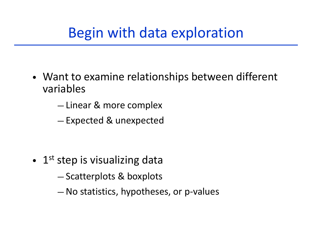- Want to examine relationships between different variables
	- $-$  Linear & more complex
	- Expected & unexpected

- • $\bullet$  1<sup>st</sup> step is visualizing data
	- Scatterplots & boxplots
	- No statistics, hypotheses, or p‐values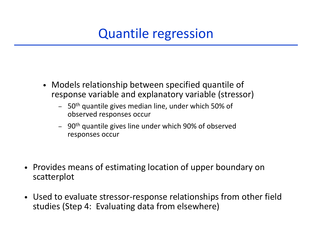#### Quantile regression

- Models relationship between specified quantile of response variable and explanatory variable (stressor)
	- $\,$  50<sup>th</sup> quantile gives median line, under which 50% of observed responses occur
	- 90<sup>th</sup> quantile gives line under which 90% of observed responses occur
- Provides means of estimating location of upper boundary on scatterplot
- Used to evaluate stressor ‐response relationships from other field studies (Step 4: Evaluating data from elsewhere)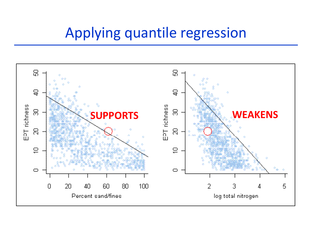#### Applying quantile regression

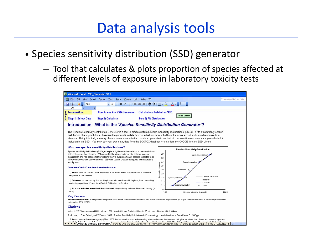#### Data analysis tools

- •• Species sensitivity distribution (SSD) generator
	- Tool that calculates & plots proportion of species affected at different levels of exposure in laboratory toxicity tests

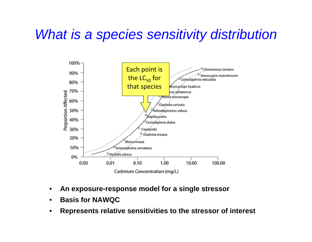#### *What is a species sensitivity distribution*



- •**An exposure-response model for a single stressor**
- •**Basis for NAWQC**
- •**Represents relative sensitivities to the stressor of interest**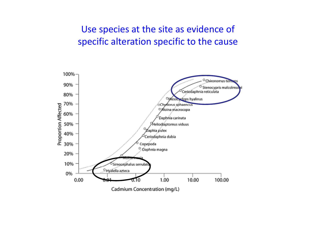#### Use species at the site as evidence of specific alteration specific to the cause

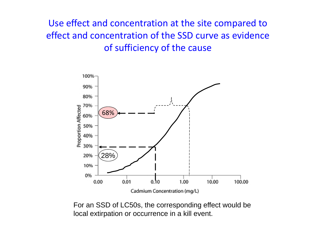Use effect and concentration at the site compared to effect and concentration of the SSD curve as evidence of sufficiency of the cause



For an SSD of LC50s, the corresponding effect would be local extirpation or occurrence in a kill event.